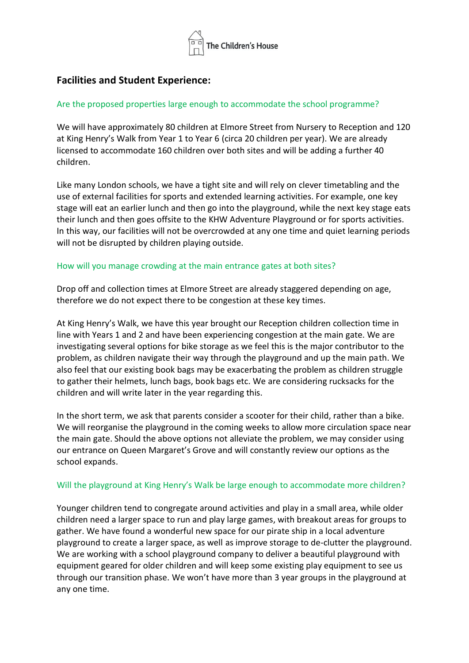

# **Facilities and Student Experience:**

## Are the proposed properties large enough to accommodate the school programme?

We will have approximately 80 children at Elmore Street from Nursery to Reception and 120 at King Henry's Walk from Year 1 to Year 6 (circa 20 children per year). We are already licensed to accommodate 160 children over both sites and will be adding a further 40 children.

Like many London schools, we have a tight site and will rely on clever timetabling and the use of external facilities for sports and extended learning activities. For example, one key stage will eat an earlier lunch and then go into the playground, while the next key stage eats their lunch and then goes offsite to the KHW Adventure Playground or for sports activities. In this way, our facilities will not be overcrowded at any one time and quiet learning periods will not be disrupted by children playing outside.

## How will you manage crowding at the main entrance gates at both sites?

Drop off and collection times at Elmore Street are already staggered depending on age, therefore we do not expect there to be congestion at these key times.

At King Henry's Walk, we have this year brought our Reception children collection time in line with Years 1 and 2 and have been experiencing congestion at the main gate. We are investigating several options for bike storage as we feel this is the major contributor to the problem, as children navigate their way through the playground and up the main path. We also feel that our existing book bags may be exacerbating the problem as children struggle to gather their helmets, lunch bags, book bags etc. We are considering rucksacks for the children and will write later in the year regarding this.

In the short term, we ask that parents consider a scooter for their child, rather than a bike. We will reorganise the playground in the coming weeks to allow more circulation space near the main gate. Should the above options not alleviate the problem, we may consider using our entrance on Queen Margaret's Grove and will constantly review our options as the school expands.

## Will the playground at King Henry's Walk be large enough to accommodate more children?

Younger children tend to congregate around activities and play in a small area, while older children need a larger space to run and play large games, with breakout areas for groups to gather. We have found a wonderful new space for our pirate ship in a local adventure playground to create a larger space, as well as improve storage to de-clutter the playground. We are working with a school playground company to deliver a beautiful playground with equipment geared for older children and will keep some existing play equipment to see us through our transition phase. We won't have more than 3 year groups in the playground at any one time.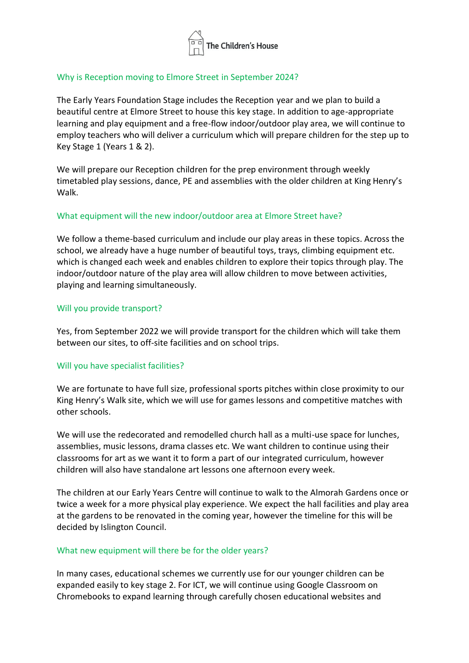

## Why is Reception moving to Elmore Street in September 2024?

The Early Years Foundation Stage includes the Reception year and we plan to build a beautiful centre at Elmore Street to house this key stage. In addition to age-appropriate learning and play equipment and a free-flow indoor/outdoor play area, we will continue to employ teachers who will deliver a curriculum which will prepare children for the step up to Key Stage 1 (Years 1 & 2).

We will prepare our Reception children for the prep environment through weekly timetabled play sessions, dance, PE and assemblies with the older children at King Henry's Walk.

## What equipment will the new indoor/outdoor area at Elmore Street have?

We follow a theme-based curriculum and include our play areas in these topics. Across the school, we already have a huge number of beautiful toys, trays, climbing equipment etc. which is changed each week and enables children to explore their topics through play. The indoor/outdoor nature of the play area will allow children to move between activities, playing and learning simultaneously.

## Will you provide transport?

Yes, from September 2022 we will provide transport for the children which will take them between our sites, to off-site facilities and on school trips.

## Will you have specialist facilities?

We are fortunate to have full size, professional sports pitches within close proximity to our King Henry's Walk site, which we will use for games lessons and competitive matches with other schools.

We will use the redecorated and remodelled church hall as a multi-use space for lunches, assemblies, music lessons, drama classes etc. We want children to continue using their classrooms for art as we want it to form a part of our integrated curriculum, however children will also have standalone art lessons one afternoon every week.

The children at our Early Years Centre will continue to walk to the Almorah Gardens once or twice a week for a more physical play experience. We expect the hall facilities and play area at the gardens to be renovated in the coming year, however the timeline for this will be decided by Islington Council.

## What new equipment will there be for the older years?

In many cases, educational schemes we currently use for our younger children can be expanded easily to key stage 2. For ICT, we will continue using Google Classroom on Chromebooks to expand learning through carefully chosen educational websites and